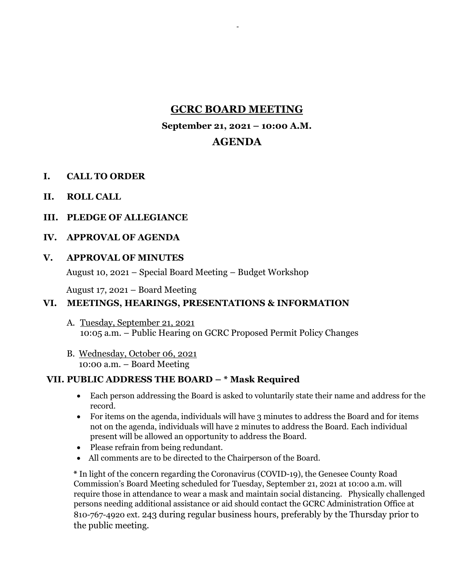# **GCRC BOARD MEETING**

-

### **September 21, 2021 – 10:00 A.M.**

# **AGENDA**

- **I. CALL TO ORDER**
- **II. ROLL CALL**
- **III. PLEDGE OF ALLEGIANCE**

## **IV. APPROVAL OF AGENDA**

#### **V. APPROVAL OF MINUTES**

August 10, 2021 – Special Board Meeting – Budget Workshop

August 17, 2021 – Board Meeting

## **VI. MEETINGS, HEARINGS, PRESENTATIONS & INFORMATION**

- A. Tuesday, September 21, 2021 10:05 a.m. – Public Hearing on GCRC Proposed Permit Policy Changes
- B. Wednesday, October 06, 2021 10:00 a.m. – Board Meeting

## **VII. PUBLIC ADDRESS THE BOARD – \* Mask Required**

- Each person addressing the Board is asked to voluntarily state their name and address for the record.
- For items on the agenda, individuals will have 3 minutes to address the Board and for items not on the agenda, individuals will have 2 minutes to address the Board. Each individual present will be allowed an opportunity to address the Board.
- Please refrain from being redundant.
- All comments are to be directed to the Chairperson of the Board.

**\*** In light of the concern regarding the Coronavirus (COVID-19), the Genesee County Road Commission's Board Meeting scheduled for Tuesday, September 21, 2021 at 10:00 a.m. will require those in attendance to wear a mask and maintain social distancing. Physically challenged persons needing additional assistance or aid should contact the GCRC Administration Office at 810-767-4920 ext. 243 during regular business hours, preferably by the Thursday prior to the public meeting.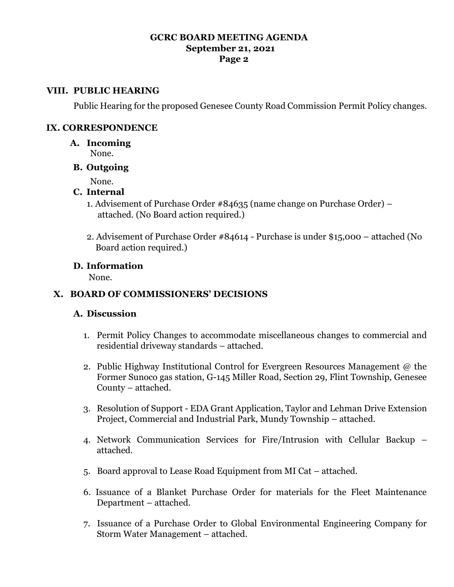# **GCRC BOARD MEETING AGENDA September 21, 2021 Page 2**

#### **VIII. PUBLIC HEARING**

Public Hearing for the proposed Genesee County Road Commission Permit Policy changes.

#### **IX. CORRESPONDENCE**

- **A. Incoming**
	- None.
- **B. Outgoing**

None.

# **C. Internal**

- 1. Advisement of Purchase Order #84635 (name change on Purchase Order) attached. (No Board action required.)
- 2. Advisement of Purchase Order #84614 Purchase is under \$15,000 attached (No Board action required.)

#### **D. Information**

None.

# **X. BOARD OF COMMISSIONERS' DECISIONS**

## **A. Discussion**

- 1. Permit Policy Changes to accommodate miscellaneous changes to commercial and residential driveway standards – attached.
- 2. Public Highway Institutional Control for Evergreen Resources Management @ the Former Sunoco gas station, G-145 Miller Road, Section 29, Flint Township, Genesee County – attached.
- 3. Resolution of Support EDA Grant Application, Taylor and Lehman Drive Extension Project, Commercial and Industrial Park, Mundy Township – attached.
- 4. Network Communication Services for Fire/Intrusion with Cellular Backup attached.
- 5. Board approval to Lease Road Equipment from MI Cat attached.
- 6. Issuance of a Blanket Purchase Order for materials for the Fleet Maintenance Department – attached.
- 7. Issuance of a Purchase Order to Global Environmental Engineering Company for Storm Water Management – attached.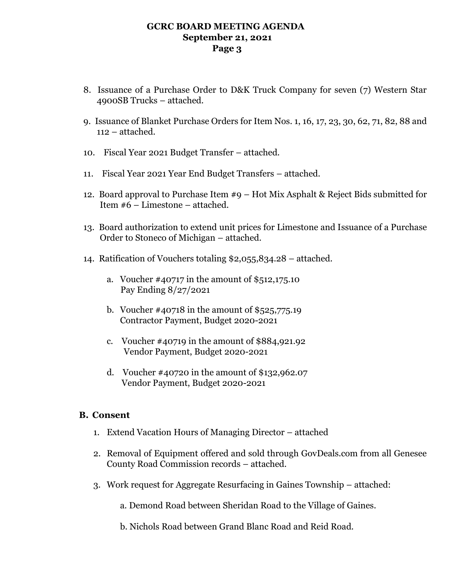### **GCRC BOARD MEETING AGENDA September 21, 2021 Page 3**

- 8. Issuance of a Purchase Order to D&K Truck Company for seven (7) Western Star 4900SB Trucks – attached.
- 9. Issuance of Blanket Purchase Orders for Item Nos. 1, 16, 17, 23, 30, 62, 71, 82, 88 and 112 – attached.
- 10. Fiscal Year 2021 Budget Transfer attached.
- 11. Fiscal Year 2021 Year End Budget Transfers attached.
- 12. Board approval to Purchase Item #9 Hot Mix Asphalt & Reject Bids submitted for Item #6 – Limestone – attached.
- 13. Board authorization to extend unit prices for Limestone and Issuance of a Purchase Order to Stoneco of Michigan – attached.
- 14. Ratification of Vouchers totaling \$2,055,834.28 attached.
	- a. Voucher #40717 in the amount of \$512,175.10 Pay Ending 8/27/2021
	- b. Voucher #40718 in the amount of \$525,775.19 Contractor Payment, Budget 2020-2021
	- c. Voucher #40719 in the amount of \$884,921.92 Vendor Payment, Budget 2020-2021
	- d. Voucher #40720 in the amount of \$132,962.07 Vendor Payment, Budget 2020-2021

## **B. Consent**

- 1. Extend Vacation Hours of Managing Director attached
- 2. Removal of Equipment offered and sold through GovDeals.com from all Genesee County Road Commission records – attached.
- 3. Work request for Aggregate Resurfacing in Gaines Township attached:

a. Demond Road between Sheridan Road to the Village of Gaines.

b. Nichols Road between Grand Blanc Road and Reid Road.